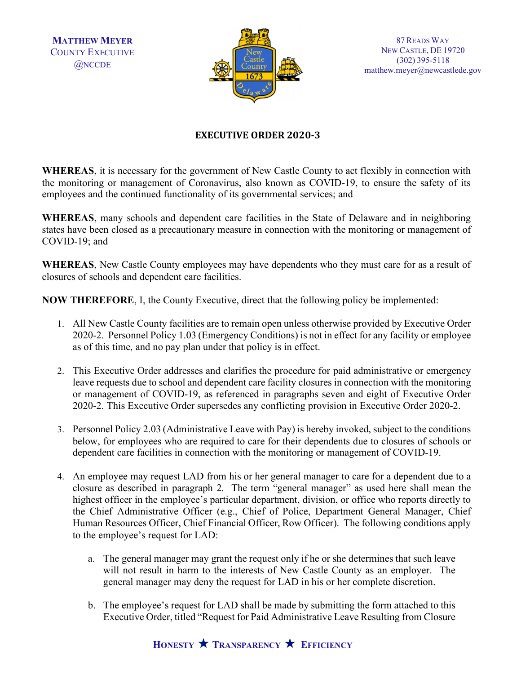**MATTHEW MEYER** COUNTY EXECUTIVE @NCCDE



87 READS WAY NEW CASTLE, DE 19720 (302) 395-5118 matthew.meyer@newcastlede.gov

## **EXECUTIVE ORDER 2020-3**

**WHEREAS**, it is necessary for the government of New Castle County to act flexibly in connection with the monitoring or management of Coronavirus, also known as COVID-19, to ensure the safety of its employees and the continued functionality of its governmental services; and

**WHEREAS**, many schools and dependent care facilities in the State of Delaware and in neighboring states have been closed as a precautionary measure in connection with the monitoring or management of COVID-19; and

**WHEREAS**, New Castle County employees may have dependents who they must care for as a result of closures of schools and dependent care facilities.

**NOW THEREFORE**, I, the County Executive, direct that the following policy be implemented:

- 1. All New Castle County facilities are to remain open unless otherwise provided by Executive Order 2020-2. Personnel Policy 1.03 (Emergency Conditions) is not in effect for any facility or employee as of this time, and no pay plan under that policy is in effect.
- 2. This Executive Order addresses and clarifies the procedure for paid administrative or emergency leave requests due to school and dependent care facility closures in connection with the monitoring or management of COVID-19, as referenced in paragraphs seven and eight of Executive Order 2020-2. This Executive Order supersedes any conflicting provision in Executive Order 2020-2.
- 3. Personnel Policy 2.03 (Administrative Leave with Pay) is hereby invoked, subject to the conditions below, for employees who are required to care for their dependents due to closures of schools or dependent care facilities in connection with the monitoring or management of COVID-19.
- 4. An employee may request LAD from his or her general manager to care for a dependent due to a closure as described in paragraph 2. The term "general manager" as used here shall mean the highest officer in the employee's particular department, division, or office who reports directly to the Chief Administrative Officer (e.g., Chief of Police, Department General Manager, Chief Human Resources Officer, Chief Financial Officer, Row Officer). The following conditions apply to the employee's request for LAD:
	- a. The general manager may grant the request only if he or she determines that such leave will not result in harm to the interests of New Castle County as an employer. The general manager may deny the request for LAD in his or her complete discretion.
	- b. The employee's request for LAD shall be made by submitting the form attached to this Executive Order, titled "Request for Paid Administrative Leave Resulting from Closure